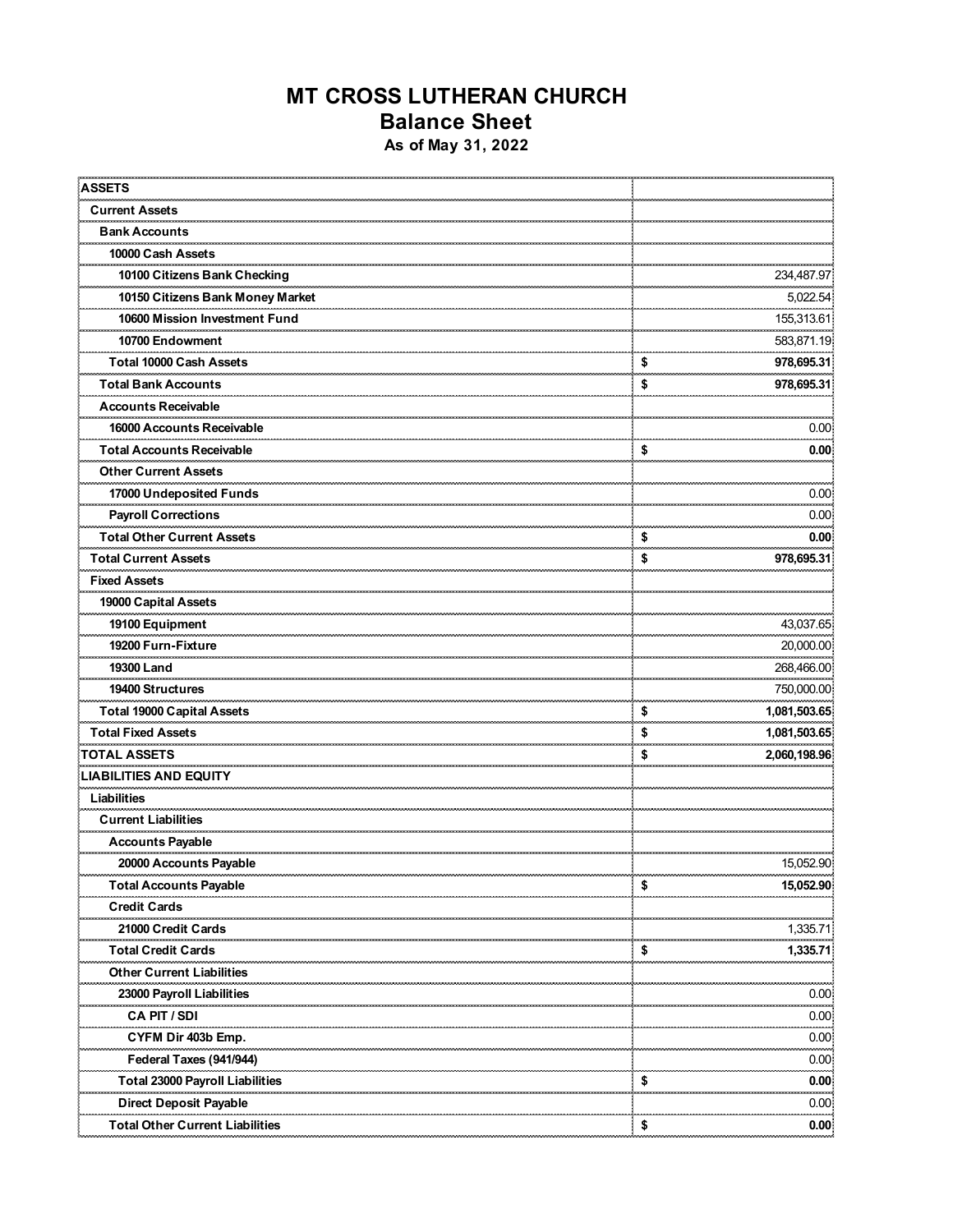## **MT CROSS LUTHERAN CHURCH Balance Sheet As of May 31, 2022**

| <b>ASSETS</b>                          |             |                   |
|----------------------------------------|-------------|-------------------|
| <b>Current Assets</b><br>              |             |                   |
| <b>Bank Accounts</b>                   |             |                   |
| 10000 Cash Assets                      |             |                   |
| 10100 Citizens Bank Checking           |             | 234,487.97        |
| 10150 Citizens Bank Money Market       |             | 5,022.54          |
| 10600 Mission Investment Fund          |             | 155,313.61        |
| 10700 Endowment                        |             | 583,871.19<br>    |
| Total 10000 Cash Assets                | \$          | 978,695.31        |
| <b>Total Bank Accounts</b>             | \$          | 978,695.31        |
| Accounts Receivable                    |             |                   |
| 16000 Accounts Receivable              |             | 0.00              |
| <b>Total Accounts Receivable</b>       | \$          | 0.00              |
| <b>Other Current Assets</b>            |             |                   |
| 17000 Undeposited Funds                |             | 0.00              |
| Payroll Corrections                    |             | 0.00              |
| <b>Total Other Current Assets</b>      | \$          | 0.00              |
| <b>Total Current Assets</b>            | \$          | 978,695.31        |
| <b>Fixed Assets</b>                    |             |                   |
| 19000 Capital Assets                   |             |                   |
| 19100 Equipment                        |             | 43,037.65         |
| 19200 Furn-Fixture                     |             | 20,000.00         |
| 19300 Land                             |             | 268,466.00        |
| 19400 Structures                       |             | <br>750,000.00    |
| <b>Total 19000 Capital Assets</b>      | \$          | 1,081,503.65      |
| <b>Total Fixed Assets</b>              | \$          | 1,081,503.65      |
| <b>TOTAL ASSETS</b>                    | ومحجر<br>\$ | <br>2,060,198.96  |
| <b>LIABILITIES AND EQUITY</b>          |             |                   |
| Liabilities                            |             |                   |
| <b>Current Liabilities</b>             |             |                   |
| <b>Accounts Payable</b>                |             |                   |
| 20000 Accounts Payable                 |             | 15,052.90         |
| <b>Total Accounts Payable</b>          | \$          | 15,052.90         |
| <b>Credit Cards</b>                    |             |                   |
| 21000 Credit Cards                     |             | 1,335.71          |
| Total Credit Cards                     | \$          | <br>1,335.71      |
| <b>Other Current Liabilities</b>       |             |                   |
| 23000 Payroll Liabilities              |             | 0.00              |
| CA PIT / SDI                           |             | ,,,,,,,,,<br>0.00 |
| CYFM Dir 403b Emp.                     |             | 0.00              |
| Federal Taxes (941/944)                |             | 0.00              |
| <b>Total 23000 Payroll Liabilities</b> | \$          | 0.00              |
| <b>Direct Deposit Payable</b>          |             | 0.00              |
| <b>Total Other Current Liabilities</b> | \$          | 0.00              |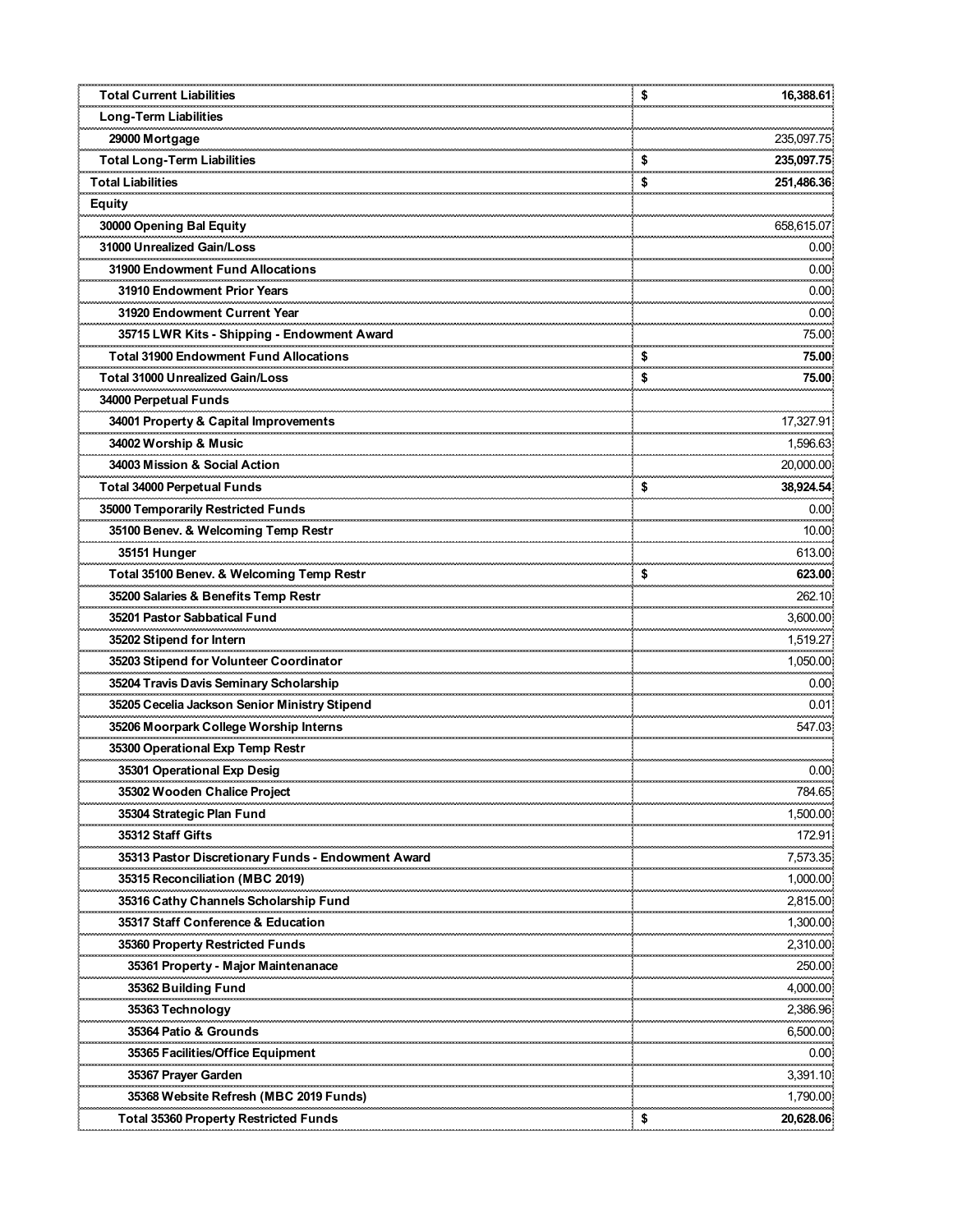| <b>Total Current Liabilities</b>                       | \$       | 16,388.61              |
|--------------------------------------------------------|----------|------------------------|
|                                                        |          |                        |
| Long-Term Liabilities<br>29000 Mortgage                |          | 235,097.75             |
| <b>Total Long-Term Liabilities</b>                     |          | 235,097.75             |
| <b>Total Liabilities</b>                               | \$<br>\$ | 251,486.36             |
|                                                        |          |                        |
| Equity                                                 |          |                        |
| 30000 Opening Bal Equity<br>31000 Unrealized Gain/Loss |          | 658,615.07             |
|                                                        |          | 0.00<br>,,,,,,,,,      |
| 31900 Endowment Fund Allocations                       |          | 0.00                   |
| 31910 Endowment Prior Years                            |          | 0.00                   |
| 31920 Endowment Current Year                           |          | 0.00                   |
| 35715 LWR Kits - Shipping - Endowment Award            |          | 75.00                  |
| <b>Total 31900 Endowment Fund Allocations</b>          | \$       | 75.00                  |
| <b>Total 31000 Unrealized Gain/Loss</b>                | \$       | 75.00                  |
| 34000 Perpetual Funds                                  |          |                        |
| 34001 Property & Capital Improvements                  |          | 17,327.91              |
| 34002 Worship & Music                                  |          | 1,596.63<br>           |
| 34003 Mission & Social Action                          |          | 20,000.00              |
| <b>Total 34000 Perpetual Funds</b>                     | \$       | 38,924.54              |
| 35000 Temporarily Restricted Funds                     |          | 0.00<br>,,,,,,,,,,     |
| 35100 Benev. & Welcoming Temp Restr                    |          | 10.00                  |
| 35151 Hunger                                           |          | 613.00                 |
| Total 35100 Benev. & Welcoming Temp Restr              | \$       | 623.00                 |
| 35200 Salaries & Benefits Temp Restr                   |          | 262.10                 |
| 35201 Pastor Sabbatical Fund                           |          | 3,600.00               |
|                                                        |          | 1,519.27<br>           |
| 35203 Stipend for Volunteer Coordinator                |          | 1,050.00               |
| 35204 Travis Davis Seminary Scholarship                |          | 0.00                   |
| 35205 Cecelia Jackson Senior Ministry Stipend          |          | 0.01<br>.              |
| 35206 Moorpark College Worship Interns                 |          | 547.03                 |
| 35300 Operational Exp Temp Restr                       |          |                        |
| 35301 Operational Exp Desig                            |          | 0.00                   |
| 35302 Wooden Chalice Project                           |          | ,,,,,,,,,,,,<br>784.65 |
| 35304 Strategic Plan Fund                              |          | 1,500.00               |
| 35312 Staff Gifts                                      |          | 172.91                 |
| 35313 Pastor Discretionary Funds - Endowment Award     |          | 7,573.35               |
| 35315 Reconciliation (MBC 2019)                        |          | 1,000.00               |
| 35316 Cathy Channels Scholarship Fund                  |          | 2,815.00               |
| 35317 Staff Conference & Education                     |          | .<br>1,300.00          |
| 35360 Property Restricted Funds                        |          | 2,310.00               |
| 35361 Property - Major Maintenanace                    |          | 250.00                 |
| 35362 Building Fund                                    |          | <br>4,000.00           |
| 35363 Technology                                       |          | 2,386.96               |
| 35364 Patio & Grounds                                  |          | 6,500.00               |
| 35365 Facilities/Office Equipment                      |          | 0.00                   |
| 35367 Prayer Garden                                    |          | 3,391.10               |
| 35368 Website Refresh (MBC 2019 Funds)                 |          | 1,790.00               |
| Total 35360 Property Restricted Funds                  | \$       | 20,628.06              |
|                                                        |          |                        |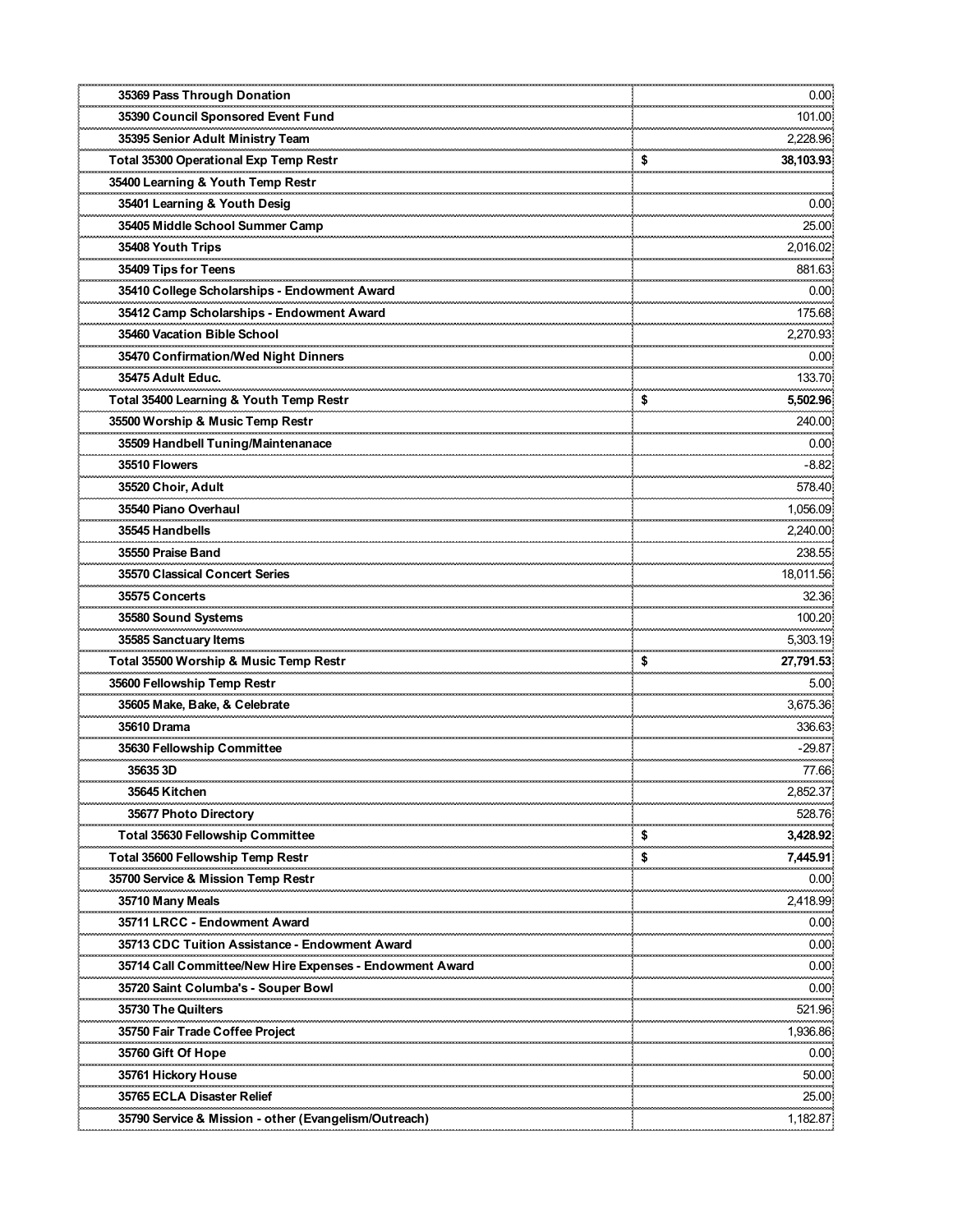| 35369 Pass Through Donation                              | 0.00                  |
|----------------------------------------------------------|-----------------------|
| 35390 Council Sponsored Event Fund                       | 101.00<br>            |
| 35395 Senior Adult Ministry Team                         | 2,228.96              |
| Total 35300 Operational Exp Temp Restr                   | \$<br>38,103.93       |
| 35400 Learning & Youth Temp Restr                        |                       |
| 35401 Learning & Youth Desig                             | 0.00                  |
| 35405 Middle School Summer Camp                          | 25.00                 |
| 35408 Youth Trips                                        | 2,016.02              |
| 35409 Tips for Teens                                     | 881.63                |
| 35410 College Scholarships - Endowment Award             | 0.00                  |
| 35412 Camp Scholarships - Endowment Award                | 175.68                |
| 35460 Vacation Bible School                              | 2,270.93              |
| 35470 Confirmation/Wed Night Dinners                     | 0.00                  |
| 35475 Adult Educ.                                        | 133.70                |
| Total 35400 Learning & Youth Temp Restr                  | \$<br><br>5,502.96    |
| 35500 Worship & Music Temp Restr                         | 240.00                |
| 35509 Handbell Tuning/Maintenanace                       | 0.00                  |
| 35510 Flowers                                            | a an an an<br>$-8.82$ |
| 35520 Choir, Adult                                       | 578.40                |
| 35540 Piano Overhaul                                     | 1,056.09              |
| 35545 Handbells                                          | 2,240.00              |
| 35550 Praise Band                                        | 238.55                |
| 35570 Classical Concert Series                           | 18,011.56             |
| 35575 Concerts                                           | 32.36                 |
| 35580 Sound Systems                                      | 100.20                |
|                                                          | 5,303.19              |
| Total 35500 Worship & Music Temp Restr                   | \$<br>27,791.53       |
| 35600 Fellowship Temp Restr                              | 5.00                  |
| 35605 Make, Bake, & Celebrate                            | 3,675.36              |
| 35610 Drama                                              | 336.63                |
| 35630 Fellowship Committee                               | $-29.87$              |
| 35635 3D                                                 | 77.66                 |
| 35645 Kitchen                                            | 2,852.37              |
| <b>35677 Photo Directory</b>                             | 528.76                |
| <b>Total 35630 Fellowship Committee</b>                  | \$<br>3,428.92        |
| Total 35600 Fellowship Temp Restr                        | \$<br>7,445.91        |
| 35700 Service & Mission Temp Restr                       | 0.00                  |
| 35710 Many Meals                                         | 2,418.99              |
| 35711 LRCC - Endowment Award                             | ومحمدت<br>0.00        |
| 35713 CDC Tuition Assistance - Endowment Award           | 0.00                  |
| 35714 Call Committee/New Hire Expenses - Endowment Award | 0.00                  |
| 35720 Saint Columba's - Souper Bowl                      | ,,,,,,,,,,<br>0.00    |
| 35730 The Quilters                                       | 521.96                |
| 35750 Fair Trade Coffee Project                          | 1,936.86              |
| 35760 Gift Of Hope                                       | 0.00                  |
| 35761 Hickory House                                      | 50.00                 |
| 35765 ECLA Disaster Relief                               | 25.00                 |
| 35790 Service & Mission - other (Evangelism/Outreach)    | 1,182.87              |
|                                                          |                       |